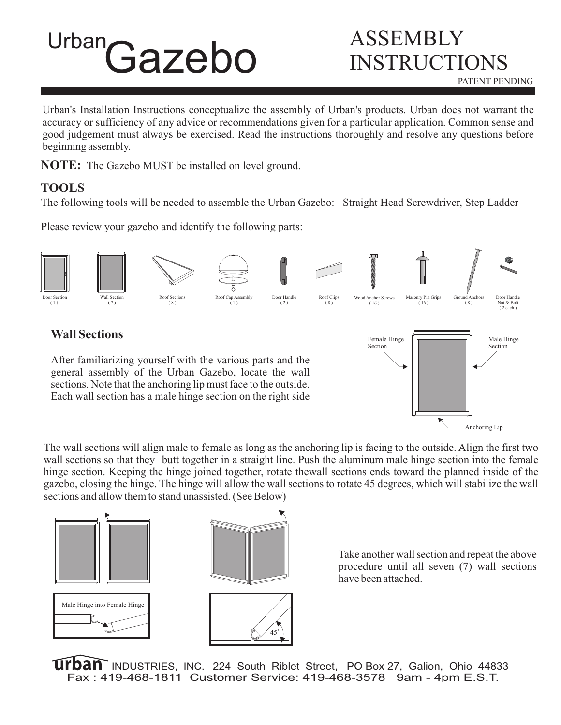# Urban Gazebo ASSEMBLY

# INSTRUCTIONS PATENT PENDING

Urban's Installation Instructions conceptualize the assembly of Urban's products. Urban does not warrant the accuracy or sufficiency of any advice or recommendations given for a particular application. Common sense and good judgement must always be exercised. Read the instructions thoroughly and resolve any questions before beginning assembly.

**NOTE:** The Gazebo MUST be installed on level ground.

## **TOOLS**

The following tools will be needed to assemble the Urban Gazebo: Straight Head Screwdriver, Step Ladder

Please review your gazebo and identify the following parts:



After familiarizing yourself with the various parts and the general assembly of the Urban Gazebo, locate the wall sections. Note that the anchoring lip must face to the outside. Each wall section has a male hinge section on the right side



The wall sections will align male to female as long as the anchoring lip is facing to the outside. Align the first two wall sections so that they butt together in a straight line. Push the aluminum male hinge section into the female hinge section. Keeping the hinge joined together, rotate thewall sections ends toward the planned inside of the gazebo, closing the hinge. The hinge will allow the wall sections to rotate 45 degrees, which will stabilize the wall sections and allow them to stand unassisted. (See Below)





Take another wall section and repeat the above procedure until all seven (7) wall sections have been attached.

INDUSTRIES, INC. 224 South Riblet Street, PO Box 27, Galion, Ohio 44833 Fax : 419-468-1811 Customer Service: 419-468-3578 9am - 4pm E.S.T.

45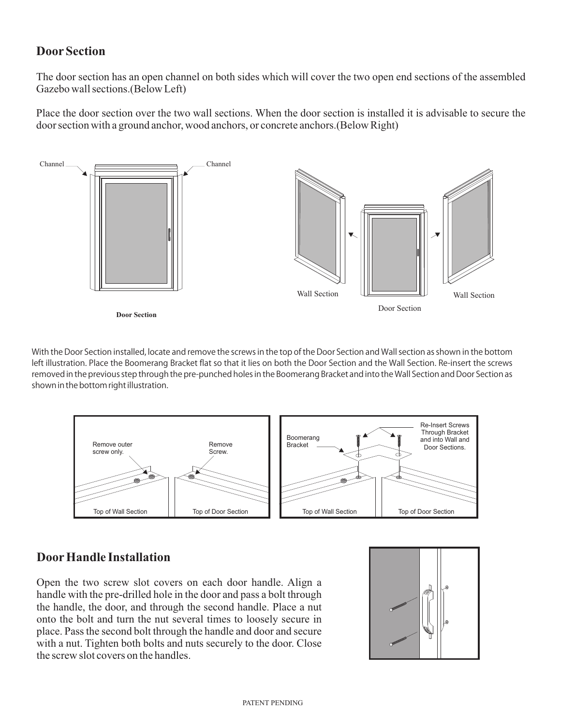#### **Door Section**

The door section has an open channel on both sides which will cover the two open end sections of the assembled Gazebo wall sections.(Below Left)

Place the door section over the two wall sections. When the door section is installed it is advisable to secure the door section with a ground anchor, wood anchors, or concrete anchors.(Below Right)



With the Door Section installed, locate and remove the screws in the top of the Door Section and Wall section as shown in the bottom left illustration. Place the Boomerang Bracket flat so that it lies on both the Door Section and the Wall Section. Re-insert the screws removed in the previous step through the pre-punched holes in the Boomerang Bracket and into the Wall Section and Door Section as shown in the bottom right illustration.



#### **Door Handle Installation**

Open the two screw slot covers on each door handle. Align a handle with the pre-drilled hole in the door and pass a bolt through the handle, the door, and through the second handle. Place a nut onto the bolt and turn the nut several times to loosely secure in place. Pass the second bolt through the handle and door and secure with a nut. Tighten both bolts and nuts securely to the door. Close the screw slot covers on the handles.

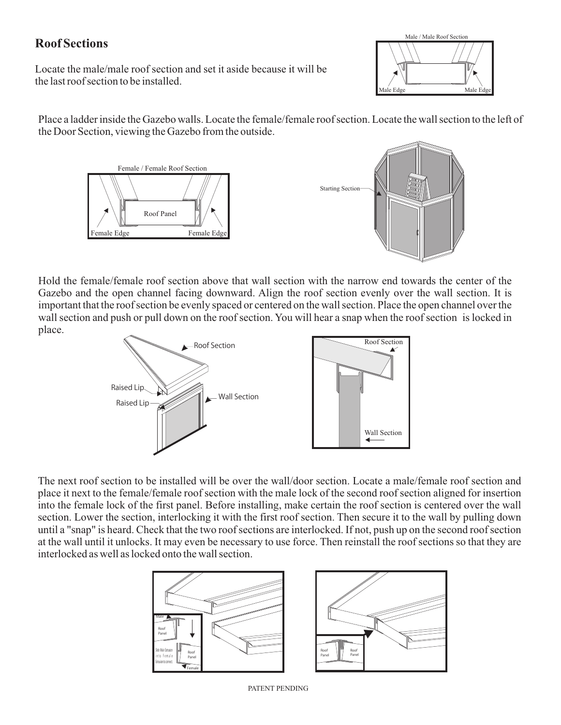### **Roof Sections**

Locate the male/male roof section and set it aside because it will be the last roof section to be installed.



Place a ladder inside the Gazebo walls. Locate the female/female roof section. Locate the wall section to the left of the Door Section, viewing the Gazebo from the outside.





Hold the female/female roof section above that wall section with the narrow end towards the center of the Gazebo and the open channel facing downward. Align the roof section evenly over the wall section. It is important that the roof section be evenly spaced or centered on the wall section. Place the open channel over the wall section and push or pull down on the roof section. You will hear a snap when the roof section is locked in place.



The next roof section to be installed will be over the wall/door section. Locate a male/female roof section and place it next to the female/female roof section with the male lock of the second roof section aligned for insertion into the female lock of the first panel. Before installing, make certain the roof section is centered over the wall section. Lower the section, interlocking it with the first roof section. Then secure it to the wall by pulling down until a "snap" is heard. Check that the two roof sections are interlocked. If not, push up on the second roof section at the wall until it unlocks. It may even be necessary to use force. Then reinstall the roof sections so that they are interlocked as well as locked onto the wall section.



PATENT PENDING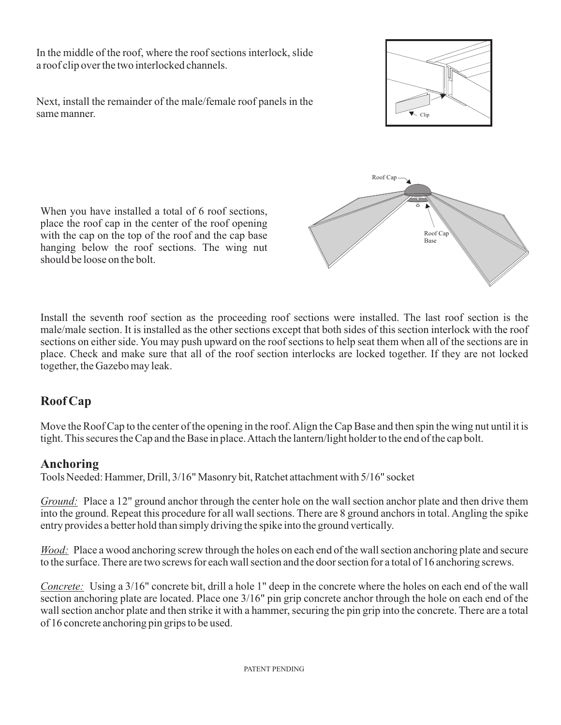In the middle of the roof, where the roof sections interlock, slide a roof clip over the two interlocked channels.

Next, install the remainder of the male/female roof panels in the same manner.

When you have installed a total of 6 roof sections, place the roof cap in the center of the roof opening with the cap on the top of the roof and the cap base hanging below the roof sections. The wing nut should be loose on the bolt.

Install the seventh roof section as the proceeding roof sections were installed. The last roof section is the male/male section. It is installed as the other sections except that both sides of this section interlock with the roof sections on either side. You may push upward on the roof sections to help seat them when all of the sections are in place. Check and make sure that all of the roof section interlocks are locked together. If they are not locked together, the Gazebo may leak.

## **Roof Cap**

Move the Roof Cap to the center of the opening in the roof.Align the Cap Base and then spin the wing nut until it is tight. This secures the Cap and the Base in place.Attach the lantern/light holder to the end of the cap bolt.

#### **Anchoring**

Tools Needed: Hammer, Drill, 3/16" Masonry bit, Ratchet attachment with 5/16" socket

Ground: Place a 12" ground anchor through the center hole on the wall section anchor plate and then drive them into the ground. Repeat this procedure for all wall sections. There are 8 ground anchors in total. Angling the spike entry provides a better hold than simply driving the spike into the ground vertically.

Wood: Place a wood anchoring screw through the holes on each end of the wall section anchoring plate and secure to the surface. There are two screws for each wall section and the door section for a total of 16 anchoring screws.

Using a 3/16" concrete bit, drill a hole 1" deep in the concrete where the holes on each end of the wall *Concrete:* section anchoring plate are located. Place one 3/16" pin grip concrete anchor through the hole on each end of the wall section anchor plate and then strike it with a hammer, securing the pin grip into the concrete. There are a total of 16 concrete anchoring pin grips to be used.